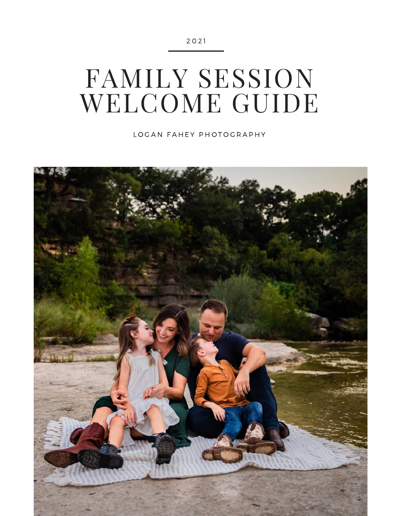# FAMILY SESSION WELCOME GUIDE

LOGAN FAHEY PHOTOGRAPHY

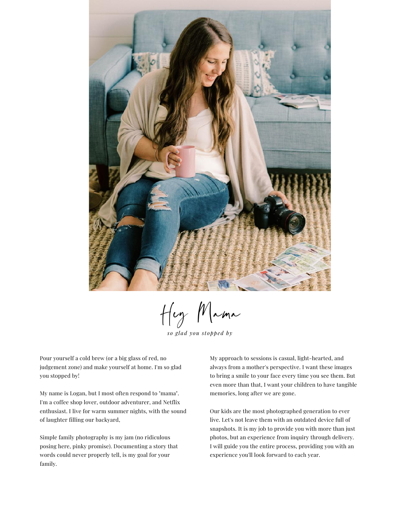

Hey Mama

*so g lad you stopped by*

Pour yourself a cold brew (or a big glass of red, no judgement zone) and make yourself at home. I'm so glad you stopped by!

My name is Logan, but I most often respond to "mama". I'm a coffee shop lover, outdoor adventurer, and Netflix enthusiast. I live for warm summer nights, with the sound of laughter filling our backyard,

Simple family photography is my jam (no ridiculous posing here, pinky promise). Documenting a story that words could never properly tell, is my goal for your family.

My approach to sessions is casual, light-hearted, and always from a mother's perspective. I want these images to bring a smile to your face every time you see them. But even more than that, I want your children to have tangible memories, long after we are gone.

Our kids are the most photographed generation to ever live. Let's not leave them with an outdated device full of snapshots. It is my job to provide you with more than just photos, but an experience from inquiry through delivery. I will guide you the entire process, providing you with an experience you'll look forward to each year.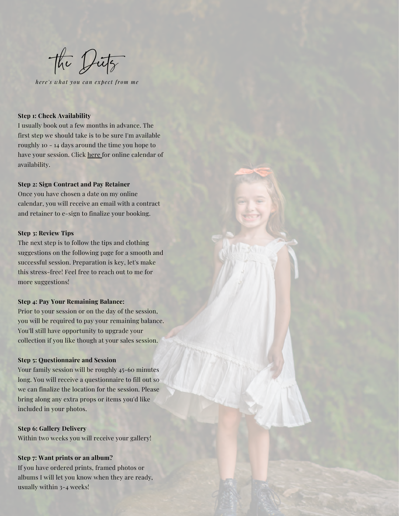the Dits

*he r e 's what you can expe c t f rom me*

## **Step 1: Check Availability**

I usually book out a few months in advance. The first step we should take is to be sure I'm available roughly 10 - 14 days around the time you hope to have your session. Click [here](https://loganfaheyphotography.hbportal.co/schedule/5eed3104af9ce4001b264442) for online calendar of availability.

## **Step 2: Sign Contract and Pay Retainer**

Once you have chosen a date on my online calendar, you will receive an email with a contract and retainer to e-sign to finalize your booking.

#### **Step 3: Review Tips**

The next step is to follow the tips and clothing suggestions on the following page for a smooth and successful session. Preparation is key, let's make this stress-free! Feel free to reach out to me for more suggestions!

### **Step 4: Pay Your Remaining Balance:**

Prior to your session or on the day of the session, you will be required to pay your remaining balance. You'll still have opportunity to upgrade your collection if you like though at your sales session.

## **Step 5: Questionnaire and Session**

Your family session will be roughly 45-60 minutes long. You will receive a questionnaire to fill out so we can finalize the location for the session. Please bring along any extra props or items you'd like included in your photos.

# **Step 6: Gallery Delivery**

Within two weeks you will receive your gallery!

## **Step 7: Want prints or an album?**

If you have ordered prints, framed photos or albums I will let you know when they are ready, usually within 3-4 weeks!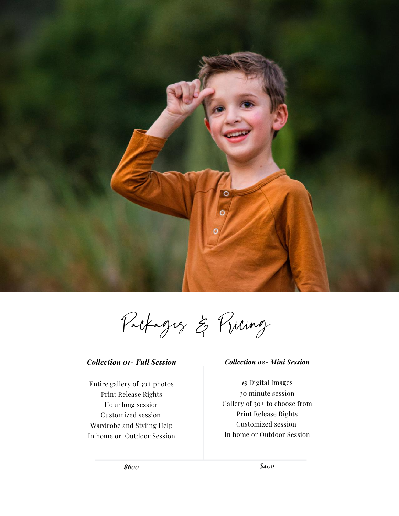

Packages & Pricing

# *Collection 01- Full Session*

Entire gallery of 30+ photos Print Release Rights Hour long session Customized session Wardrobe and Styling Help In home or Outdoor Session

## *Collection 02- Mini Session*

*15* Digital Images 30 minute session Gallery of 30+ to choose from Print Release Rights Customized session In home or Outdoor Session

*\$600*

*\$400*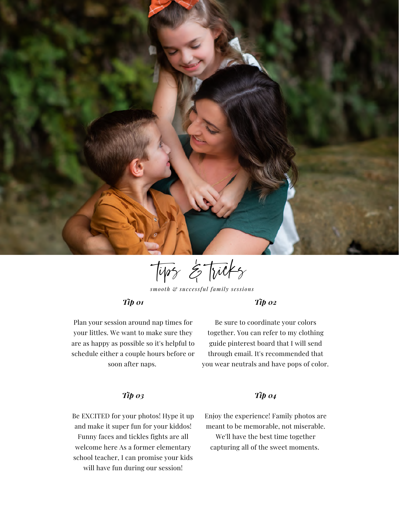

tips & tricks

*smooth & suc c e ssful family s e ssions*

# *Tip 01*

*Tip 02*

Plan your session around nap times for your littles. We want to make sure they are as happy as possible so it's helpful to schedule either a couple hours before or soon after naps.

Be sure to coordinate your colors together. You can refer to my clothing guide pinterest board that I will send through email. It's recommended that you wear neutrals and have pops of color.

# *Tip 03*

Be EXCITED for your photos! Hype it up and make it super fun for your kiddos! Funny faces and tickles fights are all welcome here As a former elementary school teacher, I can promise your kids will have fun during our session!

# *Tip 04*

Enjoy the experience! Family photos are meant to be memorable, not miserable.

We'll have the best time together capturing all of the sweet moments.